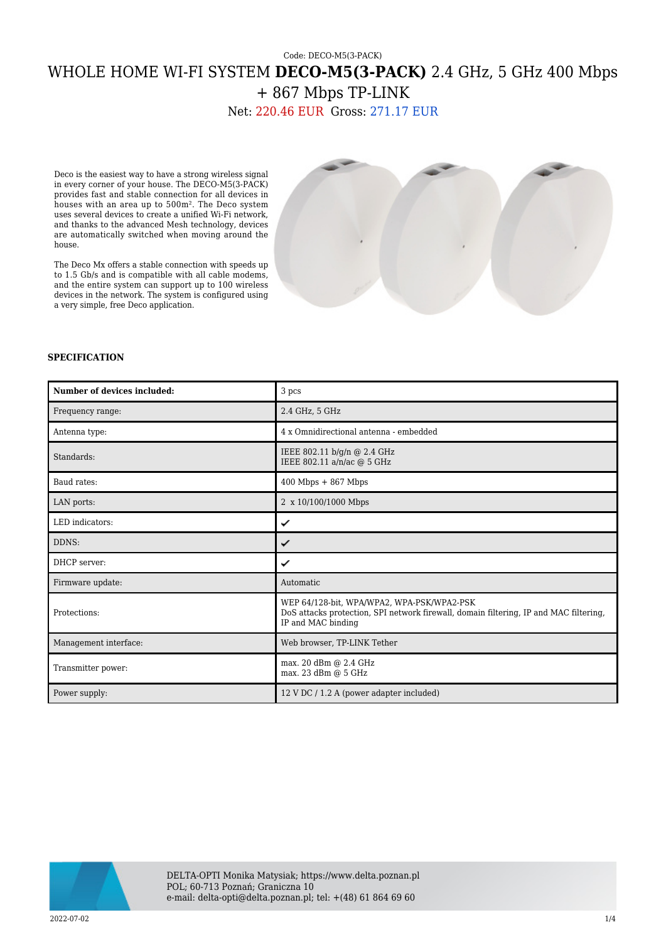## Code: DECO-M5(3-PACK) WHOLE HOME WI-FI SYSTEM **DECO-M5(3-PACK)** 2.4 GHz, 5 GHz 400 Mbps + 867 Mbps TP-LINK

Net: 220.46 EUR Gross: 271.17 EUR

Deco is the easiest way to have a strong wireless signal in every corner of your house. The DECO-M5(3-PACK) provides fast and stable connection for all devices in houses with an area up to 500m². The Deco system uses several devices to create a unified Wi-Fi network, and thanks to the advanced Mesh technology, devices are automatically switched when moving around the house.

The Deco Mx offers a stable connection with speeds up to 1.5 Gb/s and is compatible with all cable modems, and the entire system can support up to 100 wireless devices in the network. The system is configured using a very simple, free Deco application.



## **SPECIFICATION**

| Number of devices included: | 3 pcs                                                                                                                                                     |
|-----------------------------|-----------------------------------------------------------------------------------------------------------------------------------------------------------|
| Frequency range:            | 2.4 GHz, 5 GHz                                                                                                                                            |
| Antenna type:               | 4 x Omnidirectional antenna - embedded                                                                                                                    |
| Standards:                  | IEEE 802.11 b/g/n @ 2.4 GHz<br>IEEE 802.11 a/n/ac @ 5 GHz                                                                                                 |
| Baud rates:                 | $400$ Mbps $+867$ Mbps                                                                                                                                    |
| LAN ports:                  | 2 x 10/100/1000 Mbps                                                                                                                                      |
| LED indicators:             | ✓                                                                                                                                                         |
| DDNS:                       | ✓                                                                                                                                                         |
| DHCP server:                | ✓                                                                                                                                                         |
| Firmware update:            | Automatic                                                                                                                                                 |
| Protections:                | WEP 64/128-bit, WPA/WPA2, WPA-PSK/WPA2-PSK<br>DoS attacks protection, SPI network firewall, domain filtering, IP and MAC filtering,<br>IP and MAC binding |
| Management interface:       | Web browser, TP-LINK Tether                                                                                                                               |
| Transmitter power:          | max. 20 dBm @ 2.4 GHz<br>max. 23 dBm @ 5 GHz                                                                                                              |
| Power supply:               | 12 V DC / 1.2 A (power adapter included)                                                                                                                  |

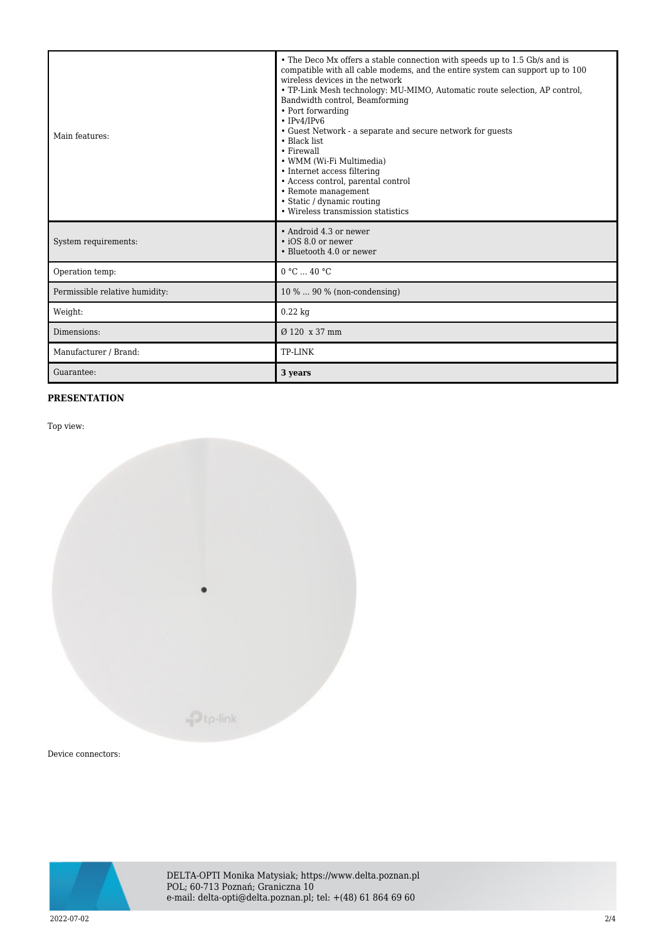| Main features:                 | • The Deco Mx offers a stable connection with speeds up to 1.5 Gb/s and is<br>compatible with all cable modems, and the entire system can support up to 100<br>wireless devices in the network<br>• TP-Link Mesh technology: MU-MIMO, Automatic route selection, AP control,<br>Bandwidth control, Beamforming<br>• Port forwarding<br>$\cdot$ IPv4/IPv6<br>• Guest Network - a separate and secure network for guests<br>• Black list<br>• Firewall<br>• WMM (Wi-Fi Multimedia)<br>• Internet access filtering<br>• Access control, parental control<br>• Remote management<br>• Static / dynamic routing<br>• Wireless transmission statistics |
|--------------------------------|--------------------------------------------------------------------------------------------------------------------------------------------------------------------------------------------------------------------------------------------------------------------------------------------------------------------------------------------------------------------------------------------------------------------------------------------------------------------------------------------------------------------------------------------------------------------------------------------------------------------------------------------------|
| System requirements:           | • Android 4.3 or newer<br>$\cdot$ iOS 8.0 or newer<br>• Bluetooth 4.0 or newer                                                                                                                                                                                                                                                                                                                                                                                                                                                                                                                                                                   |
| Operation temp:                | 0 °C  40 °C                                                                                                                                                                                                                                                                                                                                                                                                                                                                                                                                                                                                                                      |
| Permissible relative humidity: | 10 %  90 % (non-condensing)                                                                                                                                                                                                                                                                                                                                                                                                                                                                                                                                                                                                                      |
| Weight:                        | $0.22$ kg                                                                                                                                                                                                                                                                                                                                                                                                                                                                                                                                                                                                                                        |
| Dimensions:                    | Ø 120 x 37 mm                                                                                                                                                                                                                                                                                                                                                                                                                                                                                                                                                                                                                                    |
| Manufacturer / Brand:          | TP-LINK                                                                                                                                                                                                                                                                                                                                                                                                                                                                                                                                                                                                                                          |
| Guarantee:                     | 3 years                                                                                                                                                                                                                                                                                                                                                                                                                                                                                                                                                                                                                                          |

## **PRESENTATION**

Top view:



Device connectors:



DELTA-OPTI Monika Matysiak; https://www.delta.poznan.pl POL; 60-713 Poznań; Graniczna 10 e-mail: delta-opti@delta.poznan.pl; tel: +(48) 61 864 69 60

2022-07-02 2/4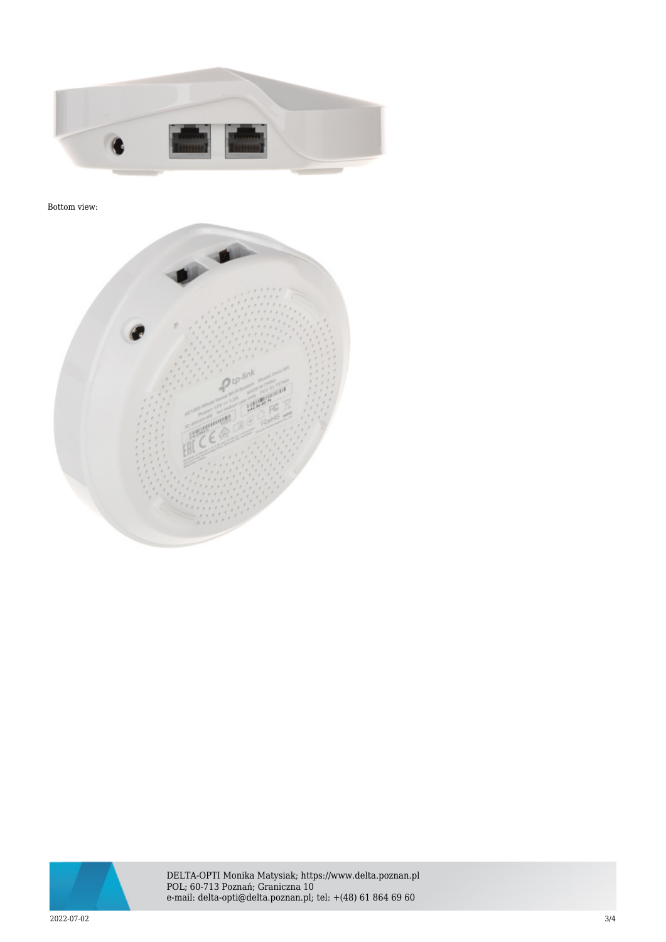

## Bottom view:





DELTA-OPTI Monika Matysiak; https://www.delta.poznan.pl POL; 60-713 Poznań; Graniczna 10 e-mail: delta-opti@delta.poznan.pl; tel: +(48) 61 864 69 60

 $2022$ -07-02  $3/4$